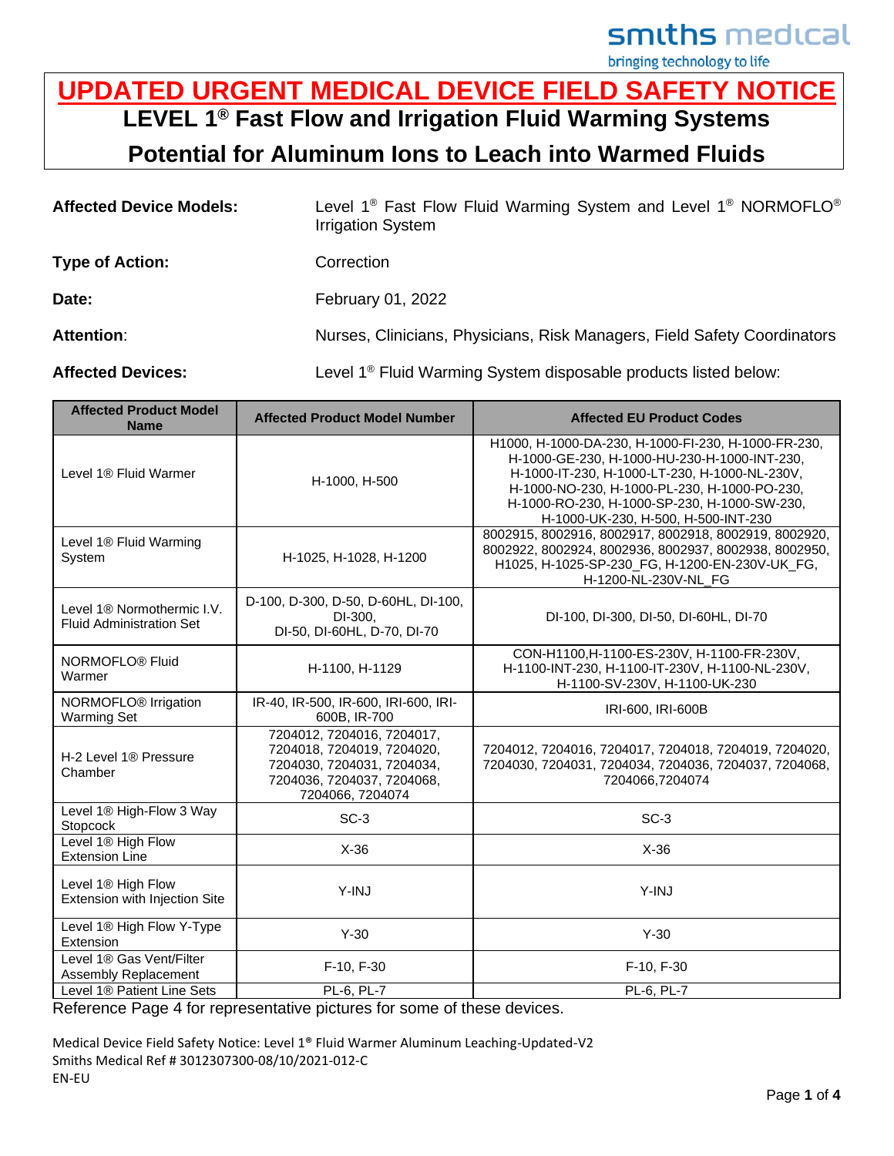smiths medical

bringing technology to life

## **UPDATED URGENT MEDICAL DEVICE FIELD SAFETY NOTICE LEVEL 1® Fast Flow and Irrigation Fluid Warming Systems**

**Potential for Aluminum Ions to Leach into Warmed Fluids**

| <b>Affected Device Models:</b> | Level 1 <sup>®</sup> Fast Flow Fluid Warming System and Level 1 <sup>®</sup> NORMOFLO <sup>®</sup><br><b>Irrigation System</b> |  |  |
|--------------------------------|--------------------------------------------------------------------------------------------------------------------------------|--|--|
| <b>Type of Action:</b>         | Correction                                                                                                                     |  |  |
| Date:                          | February 01, 2022                                                                                                              |  |  |
| <b>Attention:</b>              | Nurses, Clinicians, Physicians, Risk Managers, Field Safety Coordinators                                                       |  |  |
| <b>Affected Devices:</b>       | Level 1 <sup>®</sup> Fluid Warming System disposable products listed below:                                                    |  |  |

| <b>Affected Product Model</b><br><b>Name</b>                    | <b>Affected Product Model Number</b>                                                                                                     | <b>Affected EU Product Codes</b>                                                                                                                                                                                                                                                            |
|-----------------------------------------------------------------|------------------------------------------------------------------------------------------------------------------------------------------|---------------------------------------------------------------------------------------------------------------------------------------------------------------------------------------------------------------------------------------------------------------------------------------------|
| Level 1 <sup>®</sup> Fluid Warmer                               | H-1000, H-500                                                                                                                            | H1000, H-1000-DA-230, H-1000-FI-230, H-1000-FR-230,<br>H-1000-GE-230, H-1000-HU-230-H-1000-INT-230,<br>H-1000-IT-230, H-1000-LT-230, H-1000-NL-230V,<br>H-1000-NO-230, H-1000-PL-230, H-1000-PO-230,<br>H-1000-RO-230, H-1000-SP-230, H-1000-SW-230,<br>H-1000-UK-230, H-500, H-500-INT-230 |
| Level 1® Fluid Warming<br>System                                | H-1025, H-1028, H-1200                                                                                                                   | 8002915, 8002916, 8002917, 8002918, 8002919, 8002920,<br>8002922, 8002924, 8002936, 8002937, 8002938, 8002950,<br>H1025, H-1025-SP-230_FG, H-1200-EN-230V-UK_FG,<br>H-1200-NL-230V-NL_FG                                                                                                    |
| Level 1® Normothermic I.V.<br><b>Fluid Administration Set</b>   | D-100, D-300, D-50, D-60HL, DI-100,<br>DI-300.<br>DI-50, DI-60HL, D-70, DI-70                                                            | DI-100, DI-300, DI-50, DI-60HL, DI-70                                                                                                                                                                                                                                                       |
| NORMOFLO <sup>®</sup> Fluid<br>Warmer                           | H-1100, H-1129                                                                                                                           | CON-H1100, H-1100-ES-230V, H-1100-FR-230V,<br>H-1100-INT-230, H-1100-IT-230V, H-1100-NL-230V,<br>H-1100-SV-230V, H-1100-UK-230                                                                                                                                                              |
| NORMOFLO <sup>®</sup> Irrigation<br><b>Warming Set</b>          | IR-40, IR-500, IR-600, IRI-600, IRI-<br>600B, IR-700                                                                                     | IRI-600, IRI-600B                                                                                                                                                                                                                                                                           |
| H-2 Level 1® Pressure<br>Chamber                                | 7204012, 7204016, 7204017,<br>7204018, 7204019, 7204020,<br>7204030, 7204031, 7204034,<br>7204036, 7204037, 7204068,<br>7204066, 7204074 | 7204012, 7204016, 7204017, 7204018, 7204019, 7204020,<br>7204030, 7204031, 7204034, 7204036, 7204037, 7204068,<br>7204066,7204074                                                                                                                                                           |
| Level 1® High-Flow 3 Way<br>Stopcock                            | $SC-3$                                                                                                                                   | $SC-3$                                                                                                                                                                                                                                                                                      |
| Level 1® High Flow<br><b>Extension Line</b>                     | $X-36$                                                                                                                                   | $X-36$                                                                                                                                                                                                                                                                                      |
| Level 1 <sup>®</sup> High Flow<br>Extension with Injection Site | Y-INJ                                                                                                                                    | Y-INJ                                                                                                                                                                                                                                                                                       |
| Level 1® High Flow Y-Type<br>Extension                          | $Y-30$                                                                                                                                   | $Y-30$                                                                                                                                                                                                                                                                                      |
| Level 1® Gas Vent/Filter<br>Assembly Replacement                | F-10, F-30                                                                                                                               | F-10, F-30                                                                                                                                                                                                                                                                                  |
| Level 1 <sup>®</sup> Patient Line Sets                          | PL-6, PL-7                                                                                                                               | PL-6, PL-7                                                                                                                                                                                                                                                                                  |

Reference Page 4 for representative pictures for some of these devices.

Medical Device Field Safety Notice: Level 1® Fluid Warmer Aluminum Leaching-Updated-V2 Smiths Medical Ref # 3012307300-08/10/2021-012-C EN-EU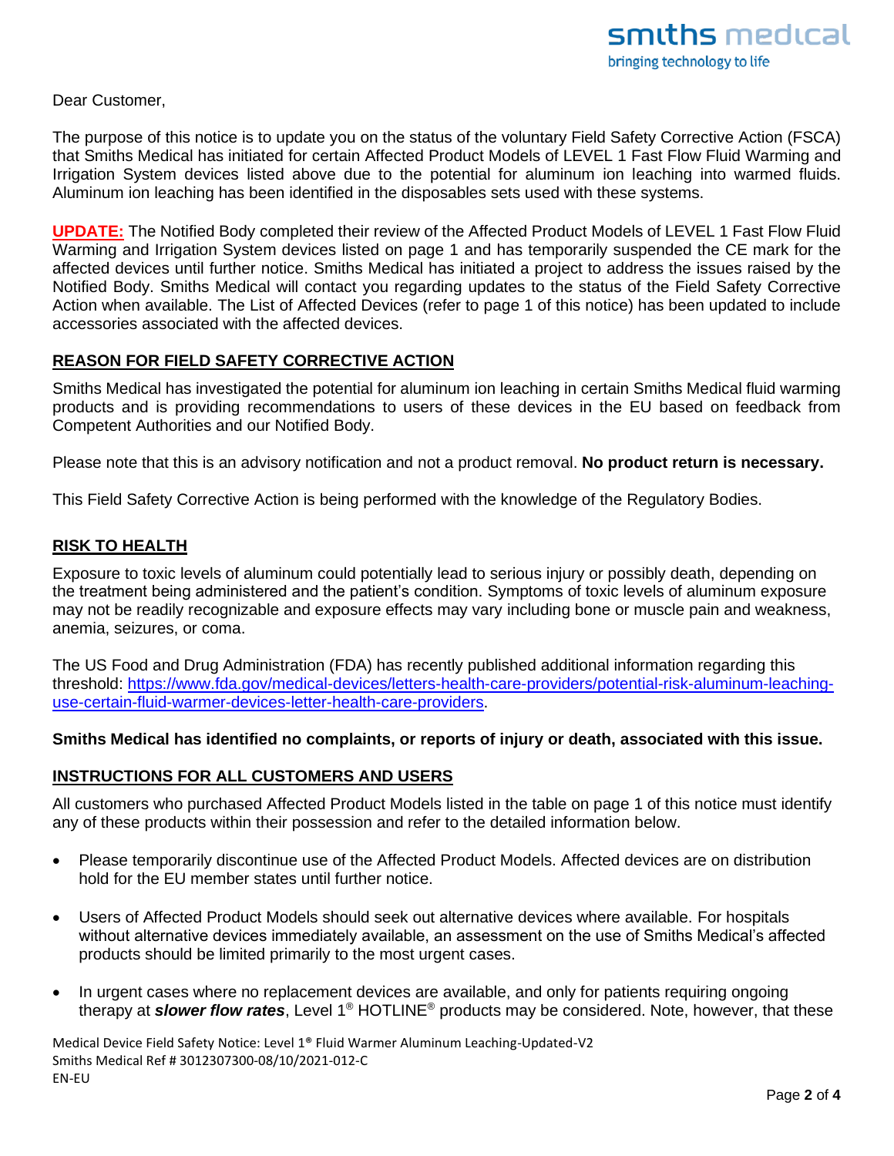Dear Customer,

The purpose of this notice is to update you on the status of the voluntary Field Safety Corrective Action (FSCA) that Smiths Medical has initiated for certain Affected Product Models of LEVEL 1 Fast Flow Fluid Warming and Irrigation System devices listed above due to the potential for aluminum ion leaching into warmed fluids. Aluminum ion leaching has been identified in the disposables sets used with these systems.

**UPDATE:** The Notified Body completed their review of the Affected Product Models of LEVEL 1 Fast Flow Fluid Warming and Irrigation System devices listed on page 1 and has temporarily suspended the CE mark for the affected devices until further notice. Smiths Medical has initiated a project to address the issues raised by the Notified Body. Smiths Medical will contact you regarding updates to the status of the Field Safety Corrective Action when available. The List of Affected Devices (refer to page 1 of this notice) has been updated to include accessories associated with the affected devices.

### **REASON FOR FIELD SAFETY CORRECTIVE ACTION**

Smiths Medical has investigated the potential for aluminum ion leaching in certain Smiths Medical fluid warming products and is providing recommendations to users of these devices in the EU based on feedback from Competent Authorities and our Notified Body.

Please note that this is an advisory notification and not a product removal. **No product return is necessary.**

This Field Safety Corrective Action is being performed with the knowledge of the Regulatory Bodies.

### **RISK TO HEALTH**

Exposure to toxic levels of aluminum could potentially lead to serious injury or possibly death, depending on the treatment being administered and the patient's condition. Symptoms of toxic levels of aluminum exposure may not be readily recognizable and exposure effects may vary including bone or muscle pain and weakness, anemia, seizures, or coma.

The US Food and Drug Administration (FDA) has recently published additional information regarding this threshold: [https://www.fda.gov/medical-devices/letters-health-care-providers/potential-risk-aluminum-leaching](https://www.fda.gov/medical-devices/letters-health-care-providers/potential-risk-aluminum-leaching-use-certain-fluid-warmer-devices-letter-health-care-providers)[use-certain-fluid-warmer-devices-letter-health-care-providers.](https://www.fda.gov/medical-devices/letters-health-care-providers/potential-risk-aluminum-leaching-use-certain-fluid-warmer-devices-letter-health-care-providers)

#### **Smiths Medical has identified no complaints, or reports of injury or death, associated with this issue.**

### **INSTRUCTIONS FOR ALL CUSTOMERS AND USERS**

All customers who purchased Affected Product Models listed in the table on page 1 of this notice must identify any of these products within their possession and refer to the detailed information below.

- Please temporarily discontinue use of the Affected Product Models. Affected devices are on distribution hold for the EU member states until further notice.
- Users of Affected Product Models should seek out alternative devices where available. For hospitals without alternative devices immediately available, an assessment on the use of Smiths Medical's affected products should be limited primarily to the most urgent cases.
- In urgent cases where no replacement devices are available, and only for patients requiring ongoing therapy at *slower flow rates*, Level 1® HOTLINE® products may be considered. Note, however, that these

Medical Device Field Safety Notice: Level 1® Fluid Warmer Aluminum Leaching-Updated-V2 Smiths Medical Ref # 3012307300-08/10/2021-012-C EN-EU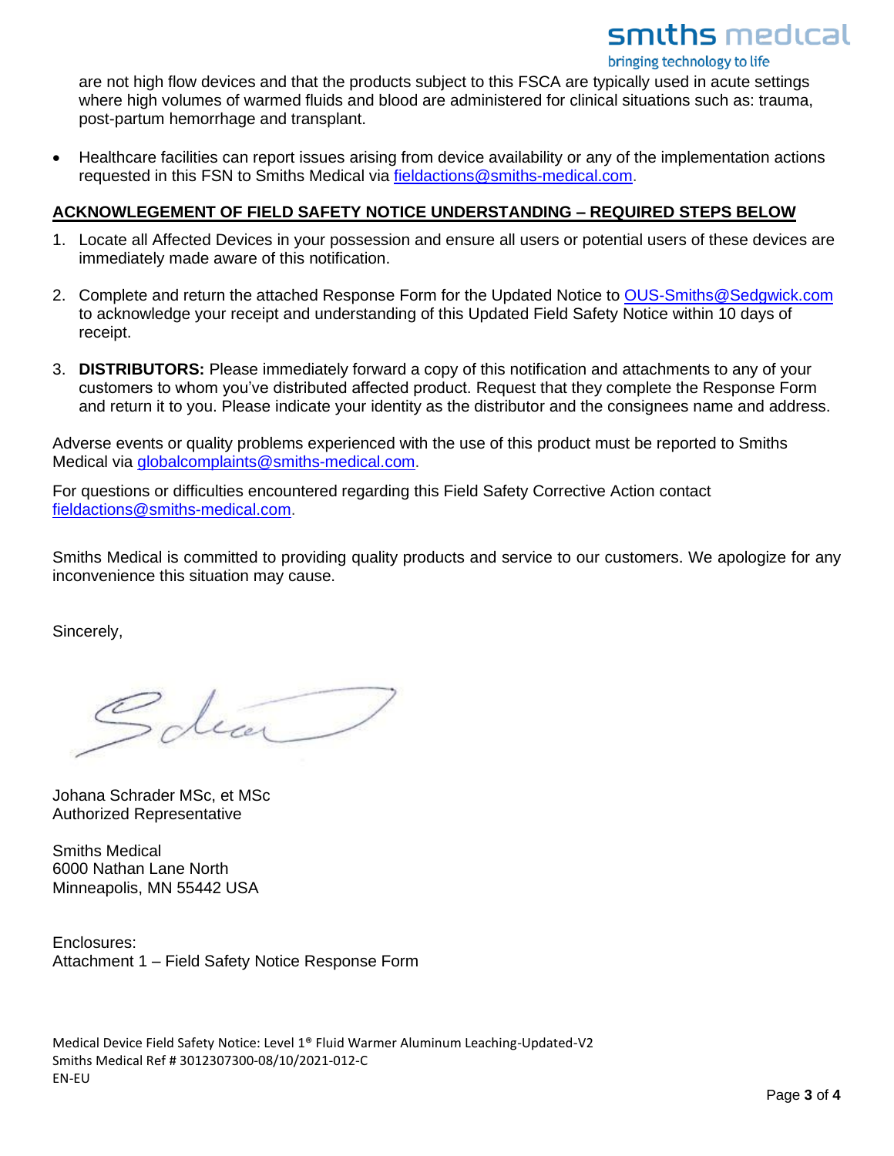## smiths medical

bringing technology to life

are not high flow devices and that the products subject to this FSCA are typically used in acute settings where high volumes of warmed fluids and blood are administered for clinical situations such as: trauma, post-partum hemorrhage and transplant.

• Healthcare facilities can report issues arising from device availability or any of the implementation actions requested in this FSN to Smiths Medical via [fieldactions@smiths-medical.com.](mailto:fieldactions@smiths-medical.com)

#### **ACKNOWLEGEMENT OF FIELD SAFETY NOTICE UNDERSTANDING – REQUIRED STEPS BELOW**

- 1. Locate all Affected Devices in your possession and ensure all users or potential users of these devices are immediately made aware of this notification.
- 2. Complete and return the attached Response Form for the Updated Notice to [OUS-Smiths@Sedgwick.com](mailto:OUS-Smiths@Sedgwick.com)  to acknowledge your receipt and understanding of this Updated Field Safety Notice within 10 days of receipt.
- 3. **DISTRIBUTORS:** Please immediately forward a copy of this notification and attachments to any of your customers to whom you've distributed affected product. Request that they complete the Response Form and return it to you. Please indicate your identity as the distributor and the consignees name and address.

Adverse events or quality problems experienced with the use of this product must be reported to Smiths Medical via [globalcomplaints@smiths-medical.com.](mailto:globalcomplaints@smiths-medical.com)

For questions or difficulties encountered regarding this Field Safety Corrective Action contact [fieldactions@smiths-medical.com.](mailto:fieldactions@smiths-medical.com)

Smiths Medical is committed to providing quality products and service to our customers. We apologize for any inconvenience this situation may cause.

Sincerely,

dear

Johana Schrader MSc, et MSc Authorized Representative

Smiths Medical 6000 Nathan Lane North Minneapolis, MN 55442 USA

Enclosures: Attachment 1 – Field Safety Notice Response Form

Medical Device Field Safety Notice: Level 1® Fluid Warmer Aluminum Leaching-Updated-V2 Smiths Medical Ref # 3012307300-08/10/2021-012-C EN-EU